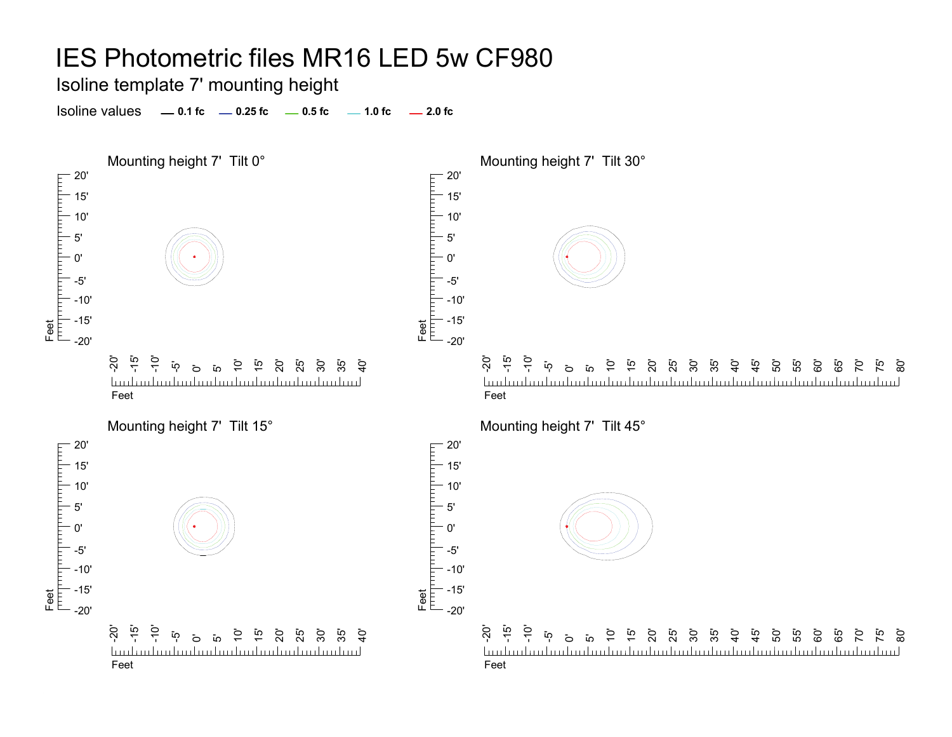Isoline template 7' mounting height

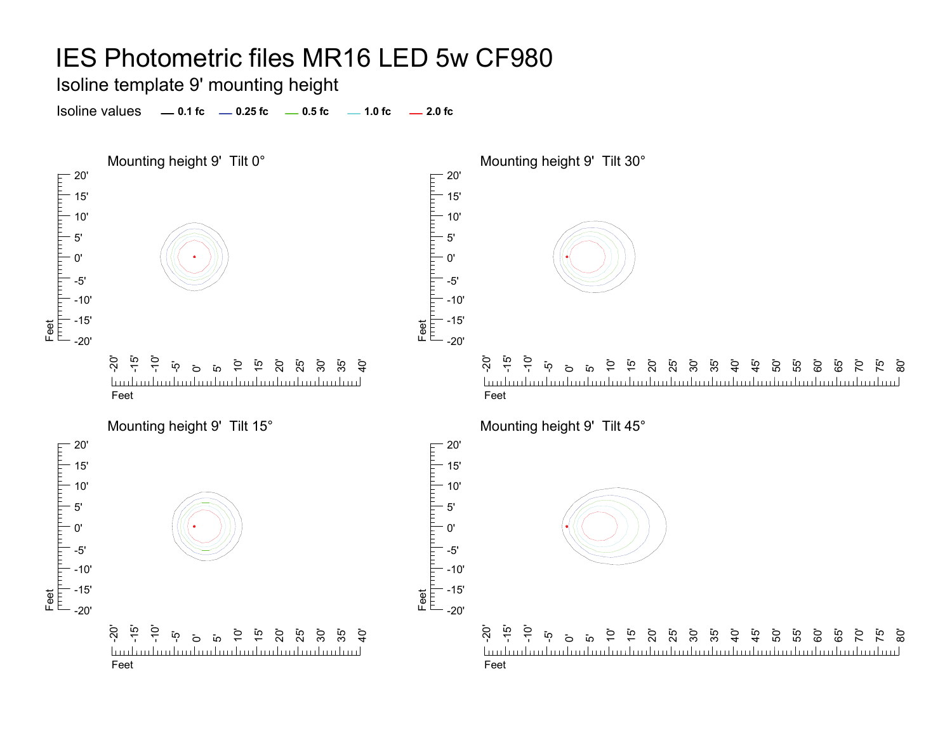Isoline template 9' mounting height

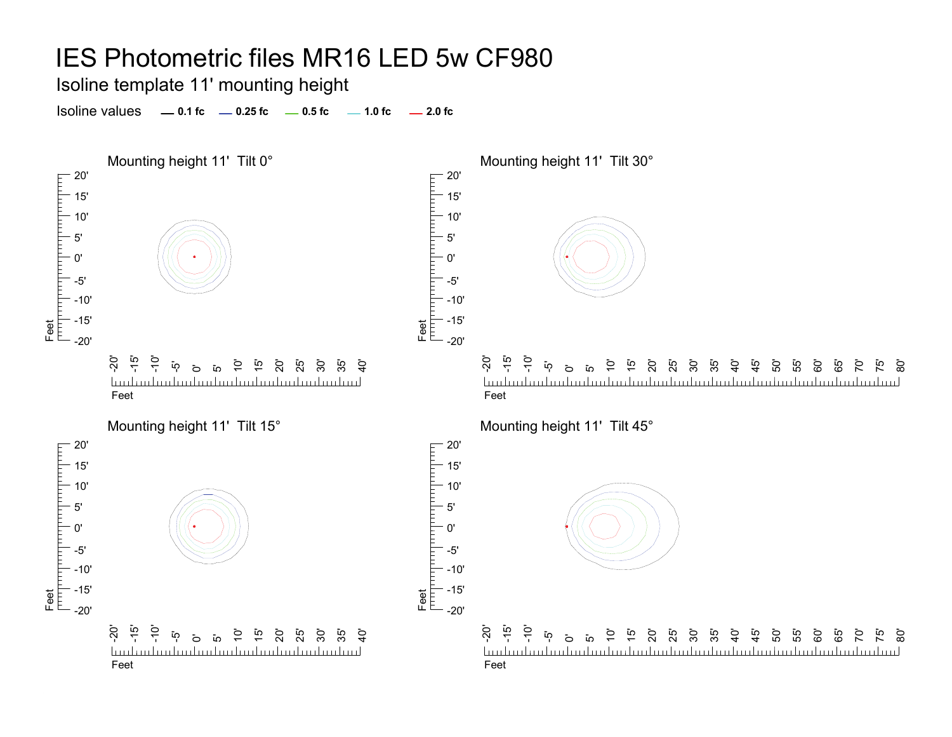Isoline template 11' mounting height

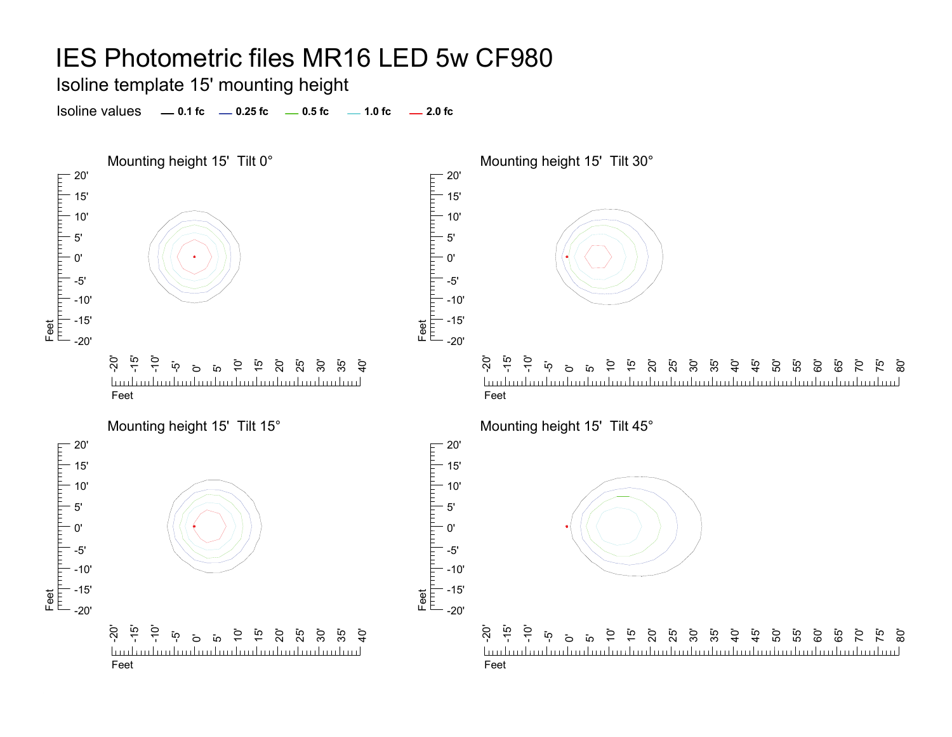Isoline template 15' mounting height

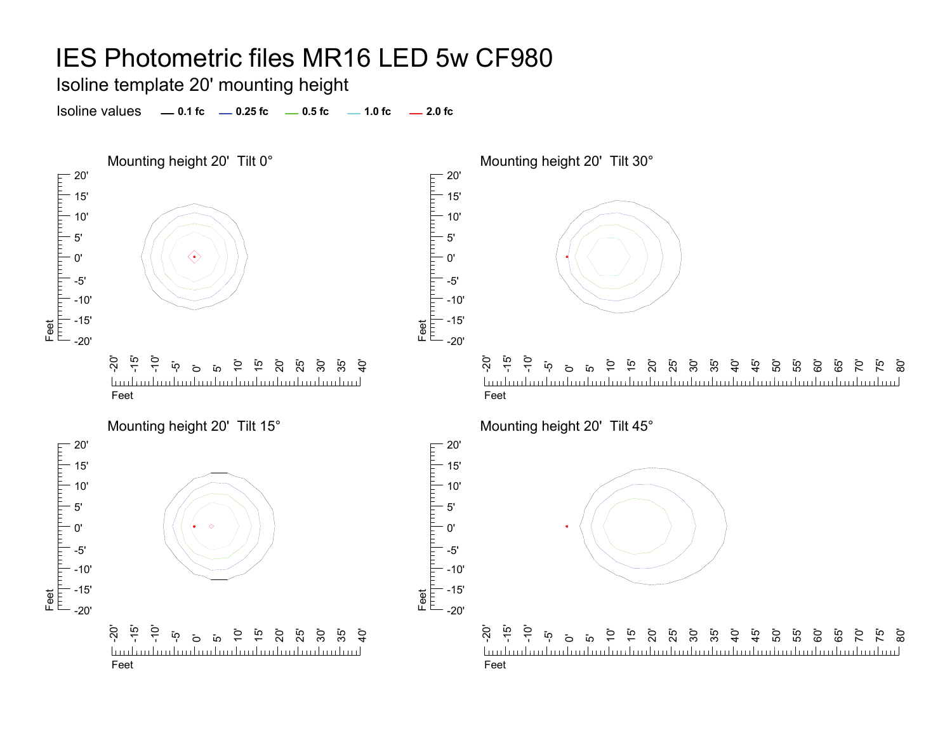Isoline template 20' mounting height

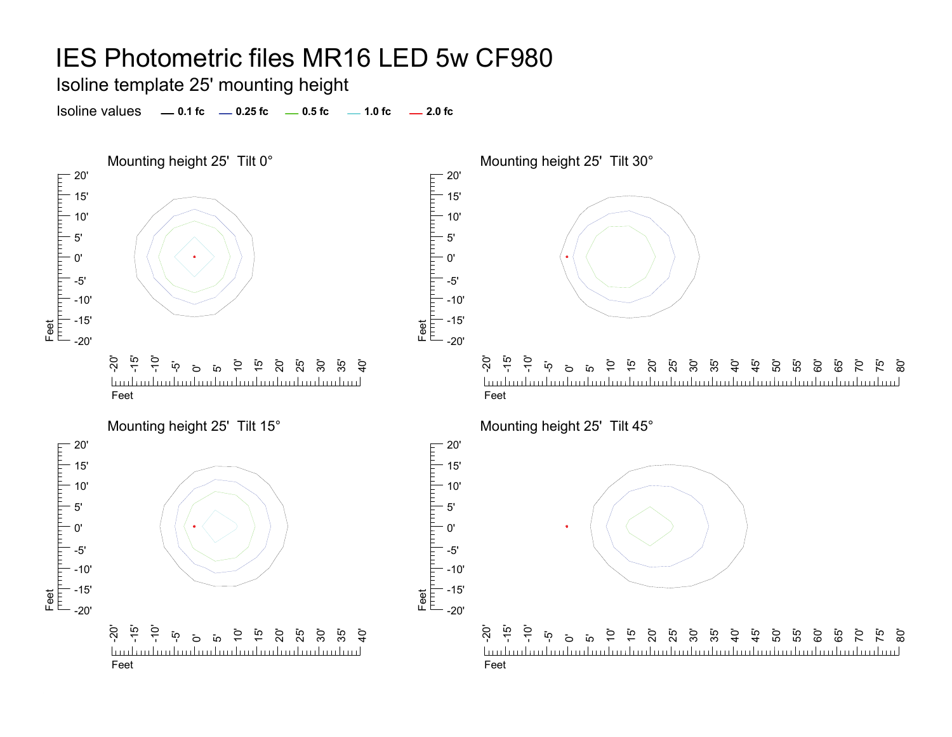Isoline template 25' mounting height

Isoline values **0.1 fc 0.25 fc 0.5 fc 2.0 fc 1.0 fc**



70' 75' ි<br>80

 $\overline{C}$ 75' .<br>80